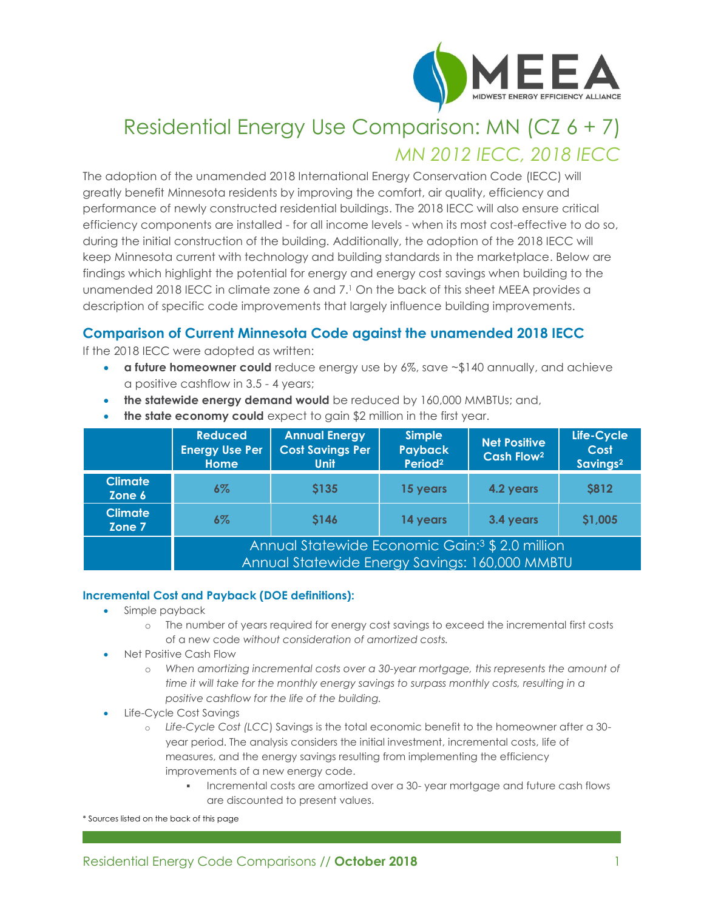

# Residential Energy Use Comparison: MN (CZ 6 + 7) *MN 2012 IECC, 2018 IECC*

The adoption of the unamended 2018 International Energy Conservation Code (IECC) will greatly benefit Minnesota residents by improving the comfort, air quality, efficiency and performance of newly constructed residential buildings. The 2018 IECC will also ensure critical efficiency components are installed - for all income levels - when its most cost-effective to do so, during the initial construction of the building. Additionally, the adoption of the 2018 IECC will keep Minnesota current with technology and building standards in the marketplace. Below are findings which highlight the potential for energy and energy cost savings when building to the unamended 2018 IECC in climate zone 6 and 7. <sup>1</sup> On the back of this sheet MEEA provides a description of specific code improvements that largely influence building improvements.

## **Comparison of Current Minnesota Code against the unamended 2018 IECC**

If the 2018 IECC were adopted as written:

- **a future homeowner could** reduce energy use by 6%, save ~\$140 annually, and achieve a positive cashflow in 3.5 - 4 years;
- **the statewide energy demand would** be reduced by 160,000 MMBTUs; and,

|                          | <b>Reduced</b><br><b>Energy Use Per</b><br><b>Home</b>                                                        | <b>Annual Energy</b><br><b>Cost Savings Per</b><br><b>Unit</b> | <b>Simple</b><br><b>Payback</b><br>Period <sup>2</sup> | <b>Net Positive</b><br>Cash Flow <sup>2</sup> | Life-Cycle<br>Cost<br>Savings <sup>2</sup> |
|--------------------------|---------------------------------------------------------------------------------------------------------------|----------------------------------------------------------------|--------------------------------------------------------|-----------------------------------------------|--------------------------------------------|
| <b>Climate</b><br>Zone 6 | $6\%$                                                                                                         | <b>S135</b>                                                    | 15 years                                               | 4.2 years                                     | <b>\$812</b>                               |
| <b>Climate</b><br>Zone 7 | $6\%$                                                                                                         | <b>S146</b>                                                    | 14 years                                               | 3.4 years                                     | \$1,005                                    |
|                          | Annual Statewide Economic Gain: <sup>3</sup> \$ 2.0 million<br>Annual Statewide Energy Savings: 160,000 MMBTU |                                                                |                                                        |                                               |                                            |

• **the state economy could** expect to gain \$2 million in the first year.

#### **Incremental Cost and Payback (DOE definitions):**

- Simple payback
	- o The number of years required for energy cost savings to exceed the incremental first costs of a new code *without consideration of amortized costs.*
- Net Positive Cash Flow
	- o *When amortizing incremental costs over a 30-year mortgage, this represents the amount of time it will take for the monthly energy savings to surpass monthly costs, resulting in a positive cashflow for the life of the building.*
- Life-Cycle Cost Savings
	- o *Life-Cycle Cost (LCC*) Savings is the total economic benefit to the homeowner after a 30 year period. The analysis considers the initial investment, incremental costs, life of measures, and the energy savings resulting from implementing the efficiency improvements of a new energy code.
		- Incremental costs are amortized over a 30- year mortgage and future cash flows are discounted to present values.

\* Sources listed on the back of this page